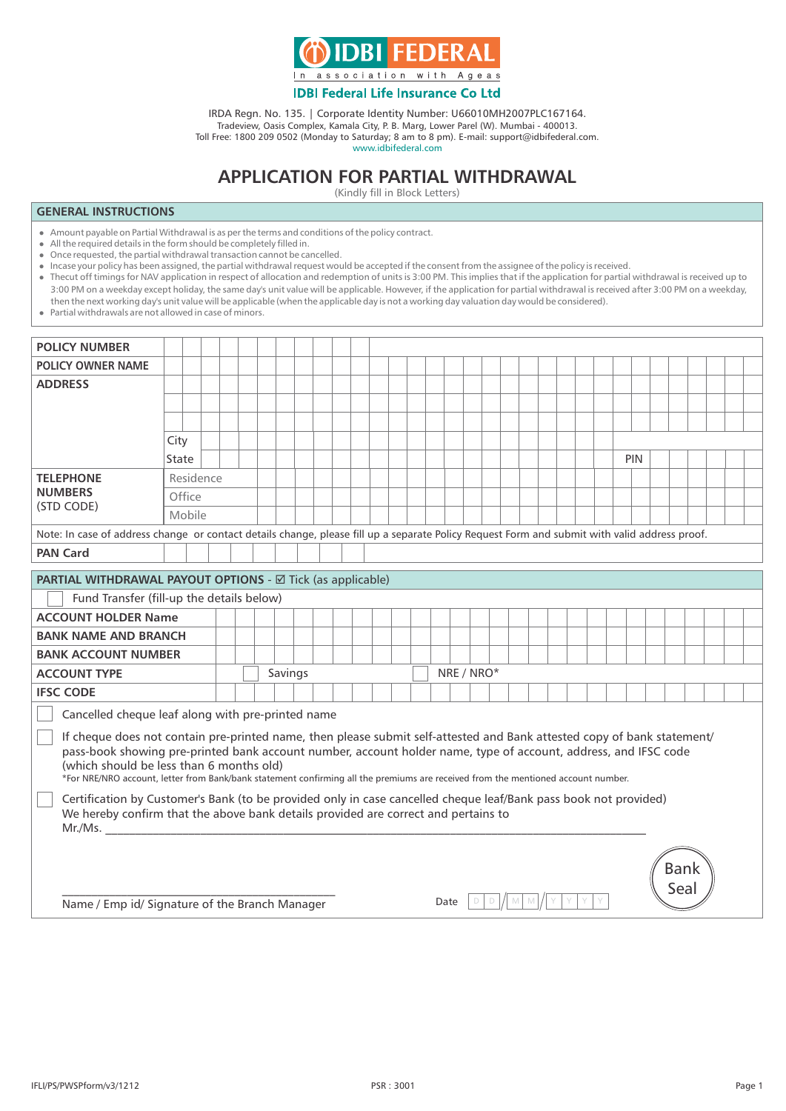

## **IDBI Federal Life Insurance Co Ltd**

IRDA Regn. No. 135. | Corporate Identity Number: U66010MH2007PLC167164. Tradeview, Oasis Complex, Kamala City, P. B. Marg, Lower Parel (W). Mumbai - 400013. Toll Free: 1800 209 0502 (Monday to Saturday; 8 am to 8 pm). E-mail: support@idbifederal.com.

www.idbifederal.com

# **APPLICATION FOR PARTIAL WITHDRAWAL**

(Kindly fill in Block Letters)

### **GENERAL INSTRUCTIONS**

- Amount payable on Partial Withdrawal is as per the terms and conditions of the policy contract.
- $\bullet$  All the required details in the form should be completely filled in.
- Once requested, the partial withdrawal transaction cannot be cancelled.
- l Incase your policy has been assigned, the partial withdrawal request would be accepted if the consent from the assignee of the policy is received.
- l Thecut off timings for NAV application in respect of allocation and redemption of units is 3:00 PM. This implies that if the application for partial withdrawal is received up to 3:00 PM on a weekday except holiday, the same day's unit value will be applicable. However, if the application for partial withdrawal is received after 3:00 PM on a weekday, then the next working day's unit value will be applicable (when the applicable day is not a working day valuation day would be considered).

l Partial withdrawals are not allowed in case of minors.

| <b>POLICY NUMBER</b>                                                                                                                                                                                                                                                                                                                                                                                                        |           |  |  |  |                       |  |  |  |  |  |  |      |   |  |   |  |  |  |     |             |  |  |
|-----------------------------------------------------------------------------------------------------------------------------------------------------------------------------------------------------------------------------------------------------------------------------------------------------------------------------------------------------------------------------------------------------------------------------|-----------|--|--|--|-----------------------|--|--|--|--|--|--|------|---|--|---|--|--|--|-----|-------------|--|--|
| <b>POLICY OWNER NAME</b>                                                                                                                                                                                                                                                                                                                                                                                                    |           |  |  |  |                       |  |  |  |  |  |  |      |   |  |   |  |  |  |     |             |  |  |
| <b>ADDRESS</b>                                                                                                                                                                                                                                                                                                                                                                                                              |           |  |  |  |                       |  |  |  |  |  |  |      |   |  |   |  |  |  |     |             |  |  |
|                                                                                                                                                                                                                                                                                                                                                                                                                             |           |  |  |  |                       |  |  |  |  |  |  |      |   |  |   |  |  |  |     |             |  |  |
|                                                                                                                                                                                                                                                                                                                                                                                                                             |           |  |  |  |                       |  |  |  |  |  |  |      |   |  |   |  |  |  |     |             |  |  |
|                                                                                                                                                                                                                                                                                                                                                                                                                             | City      |  |  |  |                       |  |  |  |  |  |  |      |   |  |   |  |  |  |     |             |  |  |
|                                                                                                                                                                                                                                                                                                                                                                                                                             | State     |  |  |  |                       |  |  |  |  |  |  |      |   |  |   |  |  |  | PIN |             |  |  |
| <b>TELEPHONE</b>                                                                                                                                                                                                                                                                                                                                                                                                            | Residence |  |  |  |                       |  |  |  |  |  |  |      |   |  |   |  |  |  |     |             |  |  |
| <b>NUMBERS</b>                                                                                                                                                                                                                                                                                                                                                                                                              | Office    |  |  |  |                       |  |  |  |  |  |  |      |   |  |   |  |  |  |     |             |  |  |
| (STD CODE)                                                                                                                                                                                                                                                                                                                                                                                                                  | Mobile    |  |  |  |                       |  |  |  |  |  |  |      |   |  |   |  |  |  |     |             |  |  |
| Note: In case of address change or contact details change, please fill up a separate Policy Request Form and submit with valid address proof.                                                                                                                                                                                                                                                                               |           |  |  |  |                       |  |  |  |  |  |  |      |   |  |   |  |  |  |     |             |  |  |
| <b>PAN Card</b>                                                                                                                                                                                                                                                                                                                                                                                                             |           |  |  |  |                       |  |  |  |  |  |  |      |   |  |   |  |  |  |     |             |  |  |
| <b>PARTIAL WITHDRAWAL PAYOUT OPTIONS - Ø Tick (as applicable)</b>                                                                                                                                                                                                                                                                                                                                                           |           |  |  |  |                       |  |  |  |  |  |  |      |   |  |   |  |  |  |     |             |  |  |
| Fund Transfer (fill-up the details below)                                                                                                                                                                                                                                                                                                                                                                                   |           |  |  |  |                       |  |  |  |  |  |  |      |   |  |   |  |  |  |     |             |  |  |
| <b>ACCOUNT HOLDER Name</b>                                                                                                                                                                                                                                                                                                                                                                                                  |           |  |  |  |                       |  |  |  |  |  |  |      |   |  |   |  |  |  |     |             |  |  |
| <b>BANK NAME AND BRANCH</b>                                                                                                                                                                                                                                                                                                                                                                                                 |           |  |  |  |                       |  |  |  |  |  |  |      |   |  |   |  |  |  |     |             |  |  |
| <b>BANK ACCOUNT NUMBER</b>                                                                                                                                                                                                                                                                                                                                                                                                  |           |  |  |  |                       |  |  |  |  |  |  |      |   |  |   |  |  |  |     |             |  |  |
| <b>ACCOUNT TYPE</b>                                                                                                                                                                                                                                                                                                                                                                                                         |           |  |  |  | Savings<br>NRE / NRO* |  |  |  |  |  |  |      |   |  |   |  |  |  |     |             |  |  |
| <b>IFSC CODE</b>                                                                                                                                                                                                                                                                                                                                                                                                            |           |  |  |  |                       |  |  |  |  |  |  |      |   |  |   |  |  |  |     |             |  |  |
| Cancelled cheque leaf along with pre-printed name                                                                                                                                                                                                                                                                                                                                                                           |           |  |  |  |                       |  |  |  |  |  |  |      |   |  |   |  |  |  |     |             |  |  |
| If cheque does not contain pre-printed name, then please submit self-attested and Bank attested copy of bank statement/<br>pass-book showing pre-printed bank account number, account holder name, type of account, address, and IFSC code<br>(which should be less than 6 months old)<br>*For NRE/NRO account, letter from Bank/bank statement confirming all the premiums are received from the mentioned account number. |           |  |  |  |                       |  |  |  |  |  |  |      |   |  |   |  |  |  |     |             |  |  |
| Certification by Customer's Bank (to be provided only in case cancelled cheque leaf/Bank pass book not provided)<br>We hereby confirm that the above bank details provided are correct and pertains to<br>Mr.Ms.                                                                                                                                                                                                            |           |  |  |  |                       |  |  |  |  |  |  |      |   |  |   |  |  |  |     |             |  |  |
| Name / Emp id/ Signature of the Branch Manager                                                                                                                                                                                                                                                                                                                                                                              |           |  |  |  |                       |  |  |  |  |  |  | Date | D |  | M |  |  |  |     | Bank<br>Sea |  |  |
|                                                                                                                                                                                                                                                                                                                                                                                                                             |           |  |  |  |                       |  |  |  |  |  |  |      |   |  |   |  |  |  |     |             |  |  |